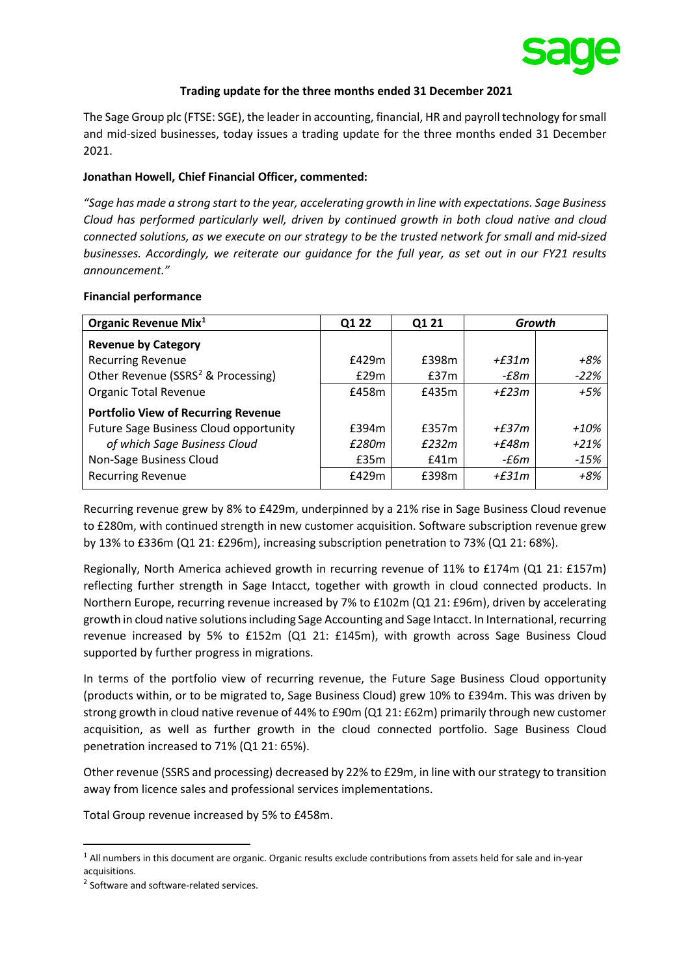

#### **Trading update for the three months ended 31 December 2021**

The Sage Group plc (FTSE: SGE), the leader in accounting, financial, HR and payroll technology for small and mid-sized businesses, today issues a trading update for the three months ended 31 December 2021.

# **Jonathan Howell, Chief Financial Officer, commented:**

*"Sage has made a strong start to the year, accelerating growth in line with expectations. Sage Business Cloud has performed particularly well, driven by continued growth in both cloud native and cloud connected solutions, as we execute on our strategy to be the trusted network for small and mid-sized businesses. Accordingly, we reiterate our guidance for the full year, as set out in our FY21 results announcement."* 

#### **Financial performance**

| Q1 22 | Q1 21 | Growth    |        |
|-------|-------|-----------|--------|
|       |       |           |        |
| £429m | £398m | $+6.31m$  | +8%    |
| E29m  | £37m  | -£8m      | $-22%$ |
| £458m | £435m | + $f23m$  | $+5%$  |
|       |       |           |        |
| £394m | £357m | + $f.37m$ | +10%   |
| £280m | £232m | +£48m     | $+21%$ |
| £35m  | f41m  | -£6m      | -15%   |
| £429m | £398m | $+6.31m$  | $+8%$  |
|       |       |           |        |

Recurring revenue grew by 8% to £429m, underpinned by a 21% rise in Sage Business Cloud revenue to £280m, with continued strength in new customer acquisition. Software subscription revenue grew by 13% to £336m (Q1 21: £296m), increasing subscription penetration to 73% (Q1 21: 68%).

Regionally, North America achieved growth in recurring revenue of 11% to £174m (Q1 21: £157m) reflecting further strength in Sage Intacct, together with growth in cloud connected products. In Northern Europe, recurring revenue increased by 7% to £102m (Q1 21: £96m), driven by accelerating growth in cloud native solutions including Sage Accounting and Sage Intacct. In International, recurring revenue increased by 5% to £152m (Q1 21: £145m), with growth across Sage Business Cloud supported by further progress in migrations.

In terms of the portfolio view of recurring revenue, the Future Sage Business Cloud opportunity (products within, or to be migrated to, Sage Business Cloud) grew 10% to £394m. This was driven by strong growth in cloud native revenue of 44% to £90m (Q1 21: £62m) primarily through new customer acquisition, as well as further growth in the cloud connected portfolio. Sage Business Cloud penetration increased to 71% (Q1 21: 65%).

Other revenue (SSRS and processing) decreased by 22% to £29m, in line with our strategy to transition away from licence sales and professional services implementations.

Total Group revenue increased by 5% to £458m.

<span id="page-0-0"></span><sup>&</sup>lt;sup>1</sup> All numbers in this document are organic. Organic results exclude contributions from assets held for sale and in-year acquisitions.

<span id="page-0-1"></span><sup>2</sup> Software and software-related services.